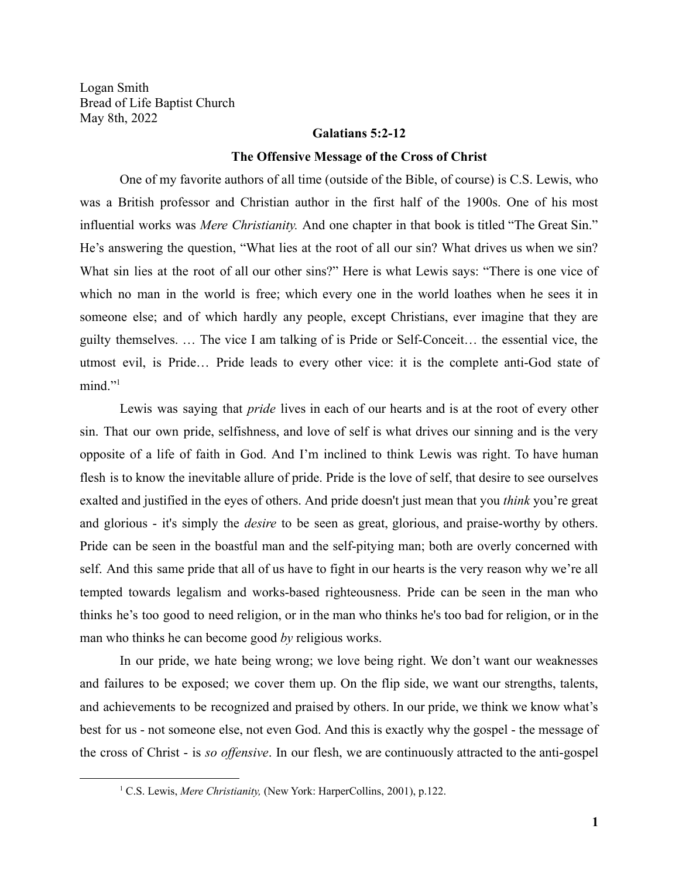Logan Smith Bread of Life Baptist Church May 8th, 2022

### **Galatians 5:2-12**

#### **The Offensive Message of the Cross of Christ**

One of my favorite authors of all time (outside of the Bible, of course) is C.S. Lewis, who was a British professor and Christian author in the first half of the 1900s. One of his most influential works was *Mere Christianity.* And one chapter in that book is titled "The Great Sin." He's answering the question, "What lies at the root of all our sin? What drives us when we sin? What sin lies at the root of all our other sins?" Here is what Lewis says: "There is one vice of which no man in the world is free; which every one in the world loathes when he sees it in someone else; and of which hardly any people, except Christians, ever imagine that they are guilty themselves. … The vice I am talking of is Pride or Self-Conceit… the essential vice, the utmost evil, is Pride… Pride leads to every other vice: it is the complete anti-God state of mind."<sup>1</sup>

Lewis was saying that *pride* lives in each of our hearts and is at the root of every other sin. That our own pride, selfishness, and love of self is what drives our sinning and is the very opposite of a life of faith in God. And I'm inclined to think Lewis was right. To have human flesh is to know the inevitable allure of pride. Pride is the love of self, that desire to see ourselves exalted and justified in the eyes of others. And pride doesn't just mean that you *think* you're great and glorious - it's simply the *desire* to be seen as great, glorious, and praise-worthy by others. Pride can be seen in the boastful man and the self-pitying man; both are overly concerned with self. And this same pride that all of us have to fight in our hearts is the very reason why we're all tempted towards legalism and works-based righteousness. Pride can be seen in the man who thinks he's too good to need religion, or in the man who thinks he's too bad for religion, or in the man who thinks he can become good *by* religious works.

In our pride, we hate being wrong; we love being right. We don't want our weaknesses and failures to be exposed; we cover them up. On the flip side, we want our strengths, talents, and achievements to be recognized and praised by others. In our pride, we think we know what's best for us - not someone else, not even God. And this is exactly why the gospel - the message of the cross of Christ - is *so offensive*. In our flesh, we are continuously attracted to the anti-gospel

<sup>&</sup>lt;sup>1</sup> C.S. Lewis, *Mere Christianity*, (New York: HarperCollins, 2001), p.122.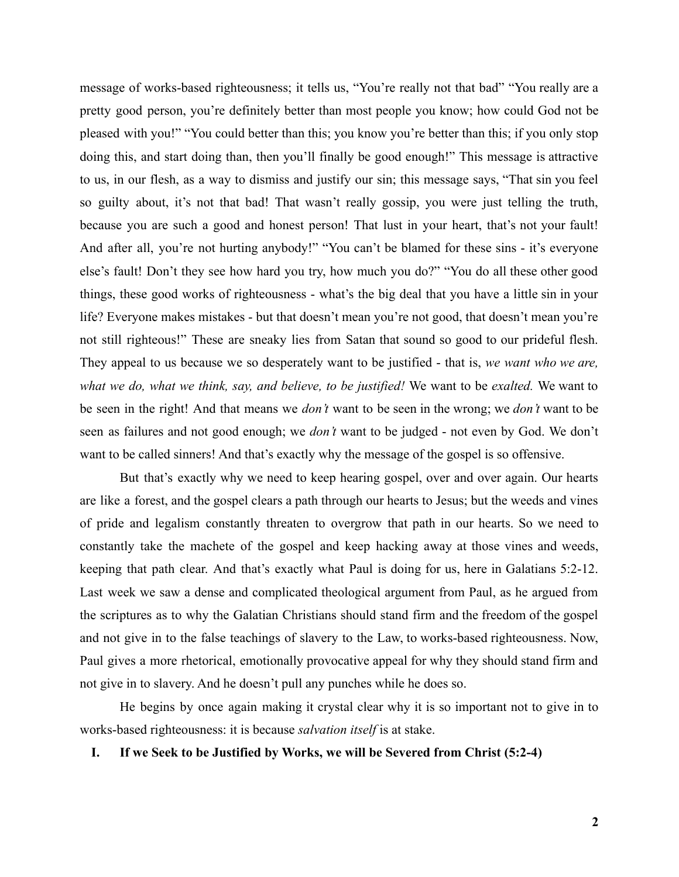message of works-based righteousness; it tells us, "You're really not that bad" "You really are a pretty good person, you're definitely better than most people you know; how could God not be pleased with you!" "You could better than this; you know you're better than this; if you only stop doing this, and start doing than, then you'll finally be good enough!" This message is attractive to us, in our flesh, as a way to dismiss and justify our sin; this message says, "That sin you feel so guilty about, it's not that bad! That wasn't really gossip, you were just telling the truth, because you are such a good and honest person! That lust in your heart, that's not your fault! And after all, you're not hurting anybody!" "You can't be blamed for these sins - it's everyone else's fault! Don't they see how hard you try, how much you do?" "You do all these other good things, these good works of righteousness - what's the big deal that you have a little sin in your life? Everyone makes mistakes - but that doesn't mean you're not good, that doesn't mean you're not still righteous!" These are sneaky lies from Satan that sound so good to our prideful flesh. They appeal to us because we so desperately want to be justified - that is, *we want who we are, what we do, what we think, say, and believe, to be justified!* We want to be *exalted.* We want to be seen in the right! And that means we *don't* want to be seen in the wrong; we *don't* want to be seen as failures and not good enough; we *don't* want to be judged - not even by God. We don't want to be called sinners! And that's exactly why the message of the gospel is so offensive.

But that's exactly why we need to keep hearing gospel, over and over again. Our hearts are like a forest, and the gospel clears a path through our hearts to Jesus; but the weeds and vines of pride and legalism constantly threaten to overgrow that path in our hearts. So we need to constantly take the machete of the gospel and keep hacking away at those vines and weeds, keeping that path clear. And that's exactly what Paul is doing for us, here in Galatians 5:2-12. Last week we saw a dense and complicated theological argument from Paul, as he argued from the scriptures as to why the Galatian Christians should stand firm and the freedom of the gospel and not give in to the false teachings of slavery to the Law, to works-based righteousness. Now, Paul gives a more rhetorical, emotionally provocative appeal for why they should stand firm and not give in to slavery. And he doesn't pull any punches while he does so.

He begins by once again making it crystal clear why it is so important not to give in to works-based righteousness: it is because *salvation itself* is at stake.

**I. If we Seek to be Justified by Works, we will be Severed from Christ (5:2-4)**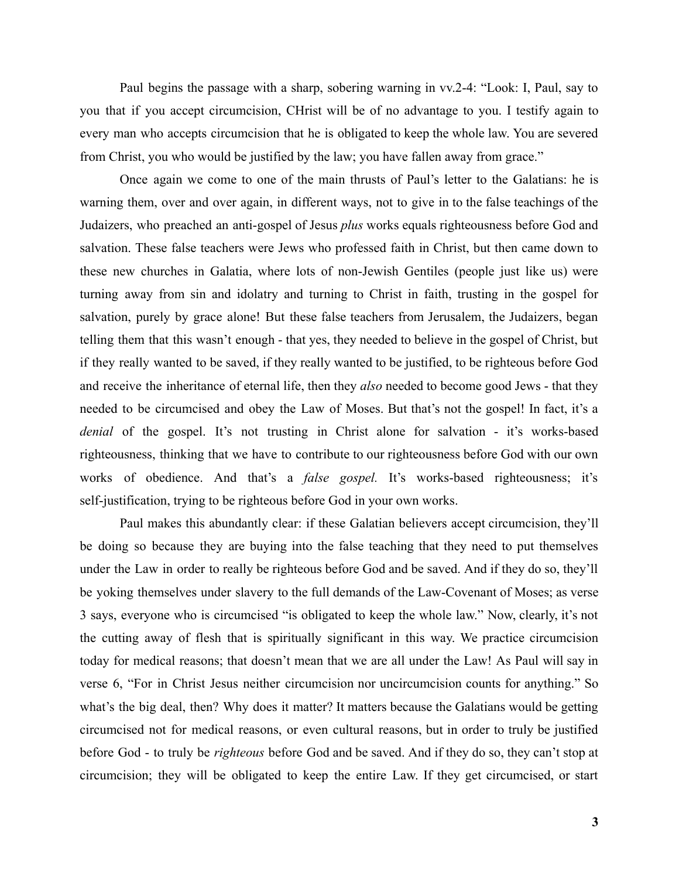Paul begins the passage with a sharp, sobering warning in vv.2-4: "Look: I, Paul, say to you that if you accept circumcision, CHrist will be of no advantage to you. I testify again to every man who accepts circumcision that he is obligated to keep the whole law. You are severed from Christ, you who would be justified by the law; you have fallen away from grace."

Once again we come to one of the main thrusts of Paul's letter to the Galatians: he is warning them, over and over again, in different ways, not to give in to the false teachings of the Judaizers, who preached an anti-gospel of Jesus *plus* works equals righteousness before God and salvation. These false teachers were Jews who professed faith in Christ, but then came down to these new churches in Galatia, where lots of non-Jewish Gentiles (people just like us) were turning away from sin and idolatry and turning to Christ in faith, trusting in the gospel for salvation, purely by grace alone! But these false teachers from Jerusalem, the Judaizers, began telling them that this wasn't enough - that yes, they needed to believe in the gospel of Christ, but if they really wanted to be saved, if they really wanted to be justified, to be righteous before God and receive the inheritance of eternal life, then they *also* needed to become good Jews - that they needed to be circumcised and obey the Law of Moses. But that's not the gospel! In fact, it's a *denial* of the gospel. It's not trusting in Christ alone for salvation - it's works-based righteousness, thinking that we have to contribute to our righteousness before God with our own works of obedience. And that's a *false gospel.* It's works-based righteousness; it's self-justification, trying to be righteous before God in your own works.

Paul makes this abundantly clear: if these Galatian believers accept circumcision, they'll be doing so because they are buying into the false teaching that they need to put themselves under the Law in order to really be righteous before God and be saved. And if they do so, they'll be yoking themselves under slavery to the full demands of the Law-Covenant of Moses; as verse 3 says, everyone who is circumcised "is obligated to keep the whole law." Now, clearly, it's not the cutting away of flesh that is spiritually significant in this way. We practice circumcision today for medical reasons; that doesn't mean that we are all under the Law! As Paul will say in verse 6, "For in Christ Jesus neither circumcision nor uncircumcision counts for anything." So what's the big deal, then? Why does it matter? It matters because the Galatians would be getting circumcised not for medical reasons, or even cultural reasons, but in order to truly be justified before God - to truly be *righteous* before God and be saved. And if they do so, they can't stop at circumcision; they will be obligated to keep the entire Law. If they get circumcised, or start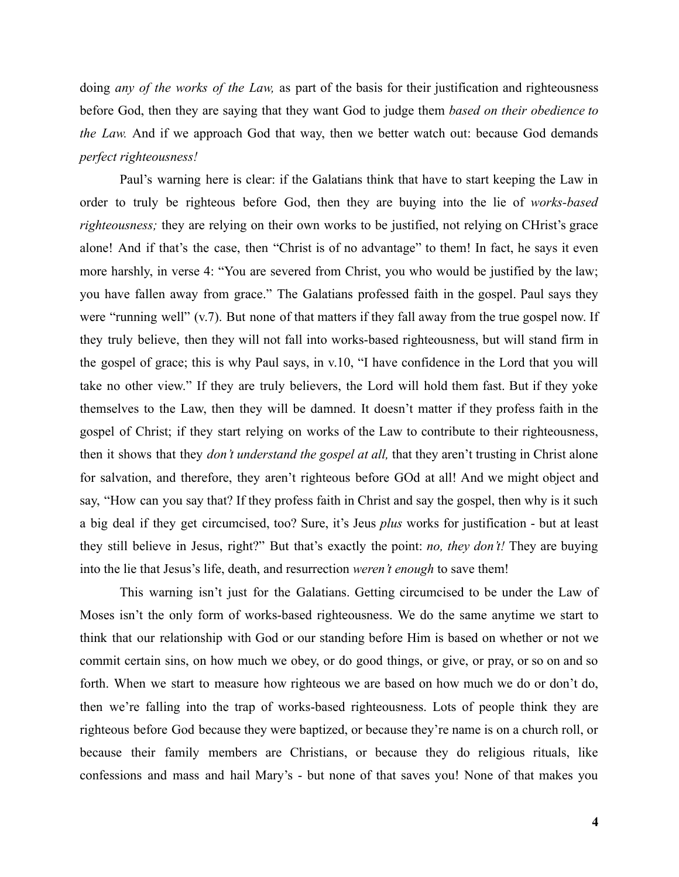doing *any of the works of the Law,* as part of the basis for their justification and righteousness before God, then they are saying that they want God to judge them *based on their obedience to the Law.* And if we approach God that way, then we better watch out: because God demands *perfect righteousness!*

Paul's warning here is clear: if the Galatians think that have to start keeping the Law in order to truly be righteous before God, then they are buying into the lie of *works-based righteousness;* they are relying on their own works to be justified, not relying on CHrist's grace alone! And if that's the case, then "Christ is of no advantage" to them! In fact, he says it even more harshly, in verse 4: "You are severed from Christ, you who would be justified by the law; you have fallen away from grace." The Galatians professed faith in the gospel. Paul says they were "running well" (v.7). But none of that matters if they fall away from the true gospel now. If they truly believe, then they will not fall into works-based righteousness, but will stand firm in the gospel of grace; this is why Paul says, in v.10, "I have confidence in the Lord that you will take no other view." If they are truly believers, the Lord will hold them fast. But if they yoke themselves to the Law, then they will be damned. It doesn't matter if they profess faith in the gospel of Christ; if they start relying on works of the Law to contribute to their righteousness, then it shows that they *don't understand the gospel at all,* that they aren't trusting in Christ alone for salvation, and therefore, they aren't righteous before GOd at all! And we might object and say, "How can you say that? If they profess faith in Christ and say the gospel, then why is it such a big deal if they get circumcised, too? Sure, it's Jeus *plus* works for justification - but at least they still believe in Jesus, right?" But that's exactly the point: *no, they don't!* They are buying into the lie that Jesus's life, death, and resurrection *weren't enough* to save them!

This warning isn't just for the Galatians. Getting circumcised to be under the Law of Moses isn't the only form of works-based righteousness. We do the same anytime we start to think that our relationship with God or our standing before Him is based on whether or not we commit certain sins, on how much we obey, or do good things, or give, or pray, or so on and so forth. When we start to measure how righteous we are based on how much we do or don't do, then we're falling into the trap of works-based righteousness. Lots of people think they are righteous before God because they were baptized, or because they're name is on a church roll, or because their family members are Christians, or because they do religious rituals, like confessions and mass and hail Mary's - but none of that saves you! None of that makes you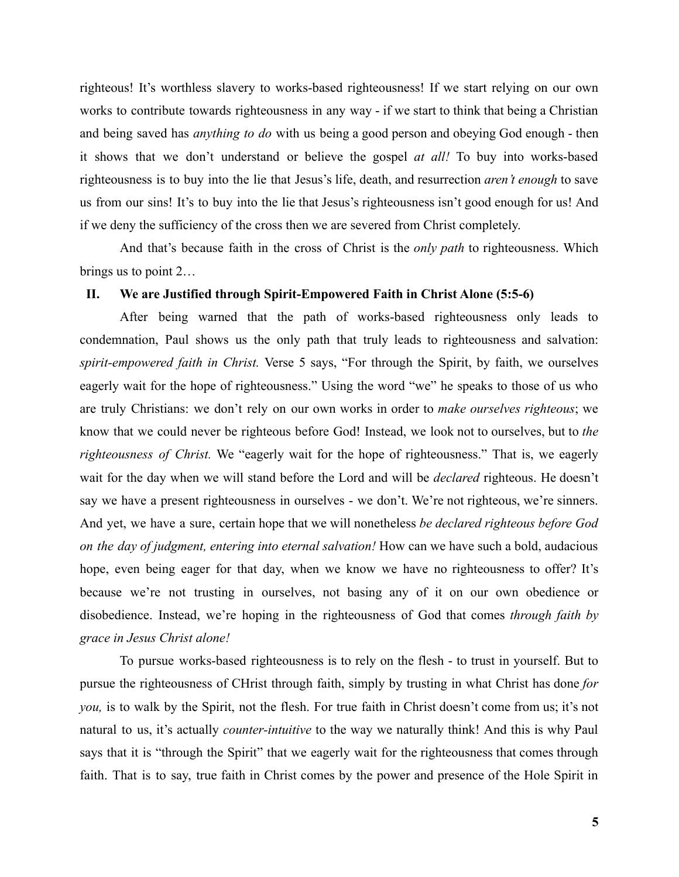righteous! It's worthless slavery to works-based righteousness! If we start relying on our own works to contribute towards righteousness in any way - if we start to think that being a Christian and being saved has *anything to do* with us being a good person and obeying God enough - then it shows that we don't understand or believe the gospel *at all!* To buy into works-based righteousness is to buy into the lie that Jesus's life, death, and resurrection *aren't enough* to save us from our sins! It's to buy into the lie that Jesus's righteousness isn't good enough for us! And if we deny the sufficiency of the cross then we are severed from Christ completely.

And that's because faith in the cross of Christ is the *only path* to righteousness. Which brings us to point 2…

#### **II. We are Justified through Spirit-Empowered Faith in Christ Alone (5:5-6)**

After being warned that the path of works-based righteousness only leads to condemnation, Paul shows us the only path that truly leads to righteousness and salvation: *spirit-empowered faith in Christ.* Verse 5 says, "For through the Spirit, by faith, we ourselves eagerly wait for the hope of righteousness." Using the word "we" he speaks to those of us who are truly Christians: we don't rely on our own works in order to *make ourselves righteous*; we know that we could never be righteous before God! Instead, we look not to ourselves, but to *the righteousness of Christ.* We "eagerly wait for the hope of righteousness." That is, we eagerly wait for the day when we will stand before the Lord and will be *declared* righteous. He doesn't say we have a present righteousness in ourselves - we don't. We're not righteous, we're sinners. And yet, we have a sure, certain hope that we will nonetheless *be declared righteous before God on the day of judgment, entering into eternal salvation!* How can we have such a bold, audacious hope, even being eager for that day, when we know we have no righteousness to offer? It's because we're not trusting in ourselves, not basing any of it on our own obedience or disobedience. Instead, we're hoping in the righteousness of God that comes *through faith by grace in Jesus Christ alone!*

To pursue works-based righteousness is to rely on the flesh - to trust in yourself. But to pursue the righteousness of CHrist through faith, simply by trusting in what Christ has done *for you,* is to walk by the Spirit, not the flesh. For true faith in Christ doesn't come from us; it's not natural to us, it's actually *counter-intuitive* to the way we naturally think! And this is why Paul says that it is "through the Spirit" that we eagerly wait for the righteousness that comes through faith. That is to say, true faith in Christ comes by the power and presence of the Hole Spirit in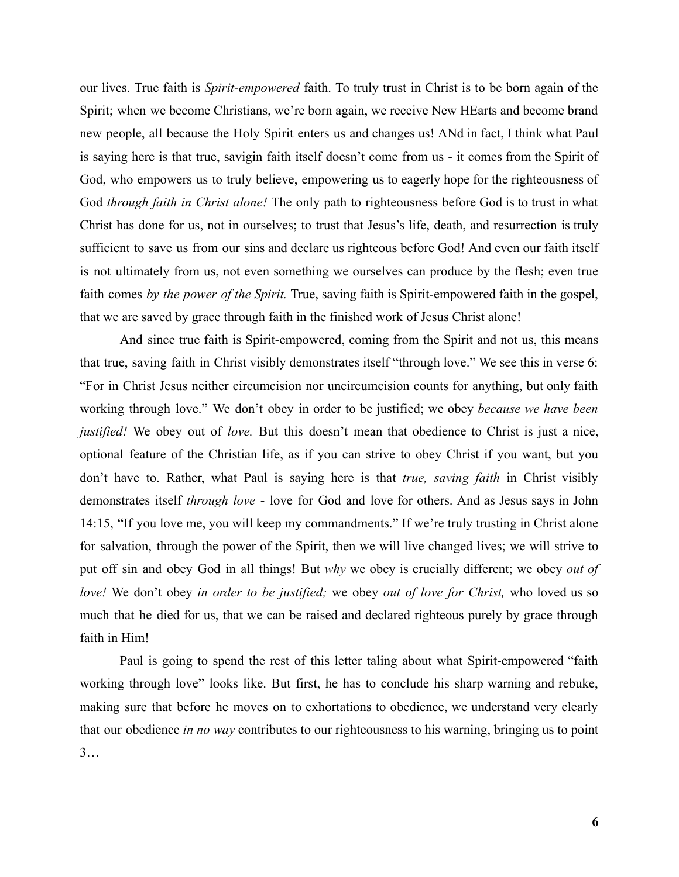our lives. True faith is *Spirit-empowered* faith. To truly trust in Christ is to be born again of the Spirit; when we become Christians, we're born again, we receive New HEarts and become brand new people, all because the Holy Spirit enters us and changes us! ANd in fact, I think what Paul is saying here is that true, savigin faith itself doesn't come from us - it comes from the Spirit of God, who empowers us to truly believe, empowering us to eagerly hope for the righteousness of God *through faith in Christ alone!* The only path to righteousness before God is to trust in what Christ has done for us, not in ourselves; to trust that Jesus's life, death, and resurrection is truly sufficient to save us from our sins and declare us righteous before God! And even our faith itself is not ultimately from us, not even something we ourselves can produce by the flesh; even true faith comes *by the power of the Spirit.* True, saving faith is Spirit-empowered faith in the gospel, that we are saved by grace through faith in the finished work of Jesus Christ alone!

And since true faith is Spirit-empowered, coming from the Spirit and not us, this means that true, saving faith in Christ visibly demonstrates itself "through love." We see this in verse 6: "For in Christ Jesus neither circumcision nor uncircumcision counts for anything, but only faith working through love." We don't obey in order to be justified; we obey *because we have been justified!* We obey out of *love.* But this doesn't mean that obedience to Christ is just a nice, optional feature of the Christian life, as if you can strive to obey Christ if you want, but you don't have to. Rather, what Paul is saying here is that *true, saving faith* in Christ visibly demonstrates itself *through love* - love for God and love for others. And as Jesus says in John 14:15, "If you love me, you will keep my commandments." If we're truly trusting in Christ alone for salvation, through the power of the Spirit, then we will live changed lives; we will strive to put off sin and obey God in all things! But *why* we obey is crucially different; we obey *out of love!* We don't obey *in order to be justified;* we obey *out of love for Christ,* who loved us so much that he died for us, that we can be raised and declared righteous purely by grace through faith in Him!

Paul is going to spend the rest of this letter taling about what Spirit-empowered "faith working through love" looks like. But first, he has to conclude his sharp warning and rebuke, making sure that before he moves on to exhortations to obedience, we understand very clearly that our obedience *in no way* contributes to our righteousness to his warning, bringing us to point  $3...$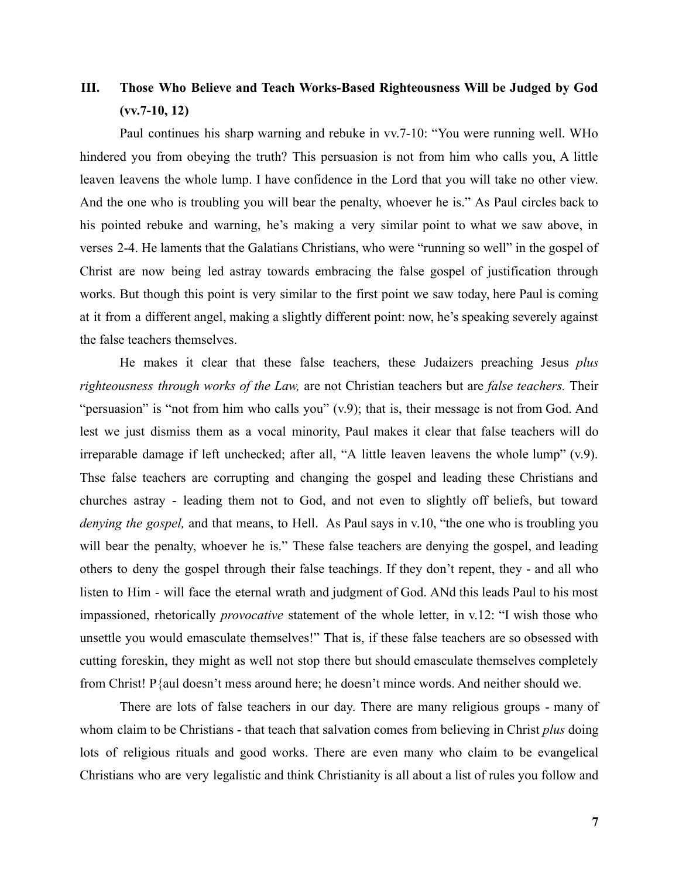# **III. Those Who Believe and Teach Works-Based Righteousness Will be Judged by God (vv.7-10, 12)**

Paul continues his sharp warning and rebuke in vv.7-10: "You were running well. WHo hindered you from obeying the truth? This persuasion is not from him who calls you, A little leaven leavens the whole lump. I have confidence in the Lord that you will take no other view. And the one who is troubling you will bear the penalty, whoever he is." As Paul circles back to his pointed rebuke and warning, he's making a very similar point to what we saw above, in verses 2-4. He laments that the Galatians Christians, who were "running so well" in the gospel of Christ are now being led astray towards embracing the false gospel of justification through works. But though this point is very similar to the first point we saw today, here Paul is coming at it from a different angel, making a slightly different point: now, he's speaking severely against the false teachers themselves.

He makes it clear that these false teachers, these Judaizers preaching Jesus *plus righteousness through works of the Law,* are not Christian teachers but are *false teachers.* Their "persuasion" is "not from him who calls you" (v.9); that is, their message is not from God. And lest we just dismiss them as a vocal minority, Paul makes it clear that false teachers will do irreparable damage if left unchecked; after all, "A little leaven leavens the whole lump" (v.9). Thse false teachers are corrupting and changing the gospel and leading these Christians and churches astray - leading them not to God, and not even to slightly off beliefs, but toward *denying the gospel,* and that means, to Hell. As Paul says in v.10, "the one who is troubling you will bear the penalty, whoever he is." These false teachers are denying the gospel, and leading others to deny the gospel through their false teachings. If they don't repent, they - and all who listen to Him - will face the eternal wrath and judgment of God. ANd this leads Paul to his most impassioned, rhetorically *provocative* statement of the whole letter, in v.12: "I wish those who unsettle you would emasculate themselves!" That is, if these false teachers are so obsessed with cutting foreskin, they might as well not stop there but should emasculate themselves completely from Christ! P{aul doesn't mess around here; he doesn't mince words. And neither should we.

There are lots of false teachers in our day. There are many religious groups - many of whom claim to be Christians - that teach that salvation comes from believing in Christ *plus* doing lots of religious rituals and good works. There are even many who claim to be evangelical Christians who are very legalistic and think Christianity is all about a list of rules you follow and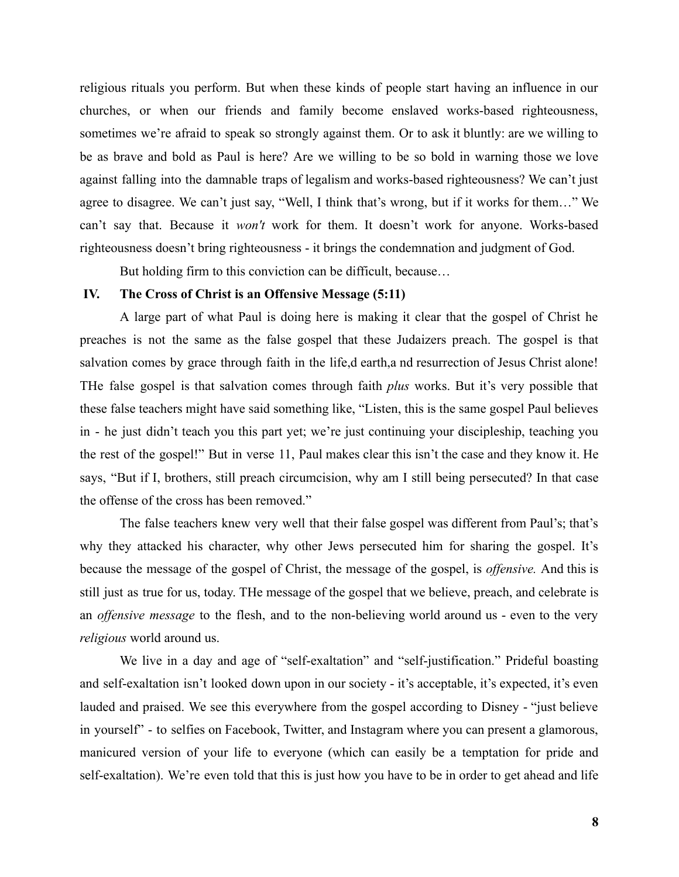religious rituals you perform. But when these kinds of people start having an influence in our churches, or when our friends and family become enslaved works-based righteousness, sometimes we're afraid to speak so strongly against them. Or to ask it bluntly: are we willing to be as brave and bold as Paul is here? Are we willing to be so bold in warning those we love against falling into the damnable traps of legalism and works-based righteousness? We can't just agree to disagree. We can't just say, "Well, I think that's wrong, but if it works for them…" We can't say that. Because it *won't* work for them. It doesn't work for anyone. Works-based righteousness doesn't bring righteousness - it brings the condemnation and judgment of God.

But holding firm to this conviction can be difficult, because…

## **IV. The Cross of Christ is an Offensive Message (5:11)**

A large part of what Paul is doing here is making it clear that the gospel of Christ he preaches is not the same as the false gospel that these Judaizers preach. The gospel is that salvation comes by grace through faith in the life,d earth,a nd resurrection of Jesus Christ alone! THe false gospel is that salvation comes through faith *plus* works. But it's very possible that these false teachers might have said something like, "Listen, this is the same gospel Paul believes in - he just didn't teach you this part yet; we're just continuing your discipleship, teaching you the rest of the gospel!" But in verse 11, Paul makes clear this isn't the case and they know it. He says, "But if I, brothers, still preach circumcision, why am I still being persecuted? In that case the offense of the cross has been removed."

The false teachers knew very well that their false gospel was different from Paul's; that's why they attacked his character, why other Jews persecuted him for sharing the gospel. It's because the message of the gospel of Christ, the message of the gospel, is *offensive.* And this is still just as true for us, today. THe message of the gospel that we believe, preach, and celebrate is an *offensive message* to the flesh, and to the non-believing world around us - even to the very *religious* world around us.

We live in a day and age of "self-exaltation" and "self-justification." Prideful boasting and self-exaltation isn't looked down upon in our society - it's acceptable, it's expected, it's even lauded and praised. We see this everywhere from the gospel according to Disney - "just believe in yourself" - to selfies on Facebook, Twitter, and Instagram where you can present a glamorous, manicured version of your life to everyone (which can easily be a temptation for pride and self-exaltation). We're even told that this is just how you have to be in order to get ahead and life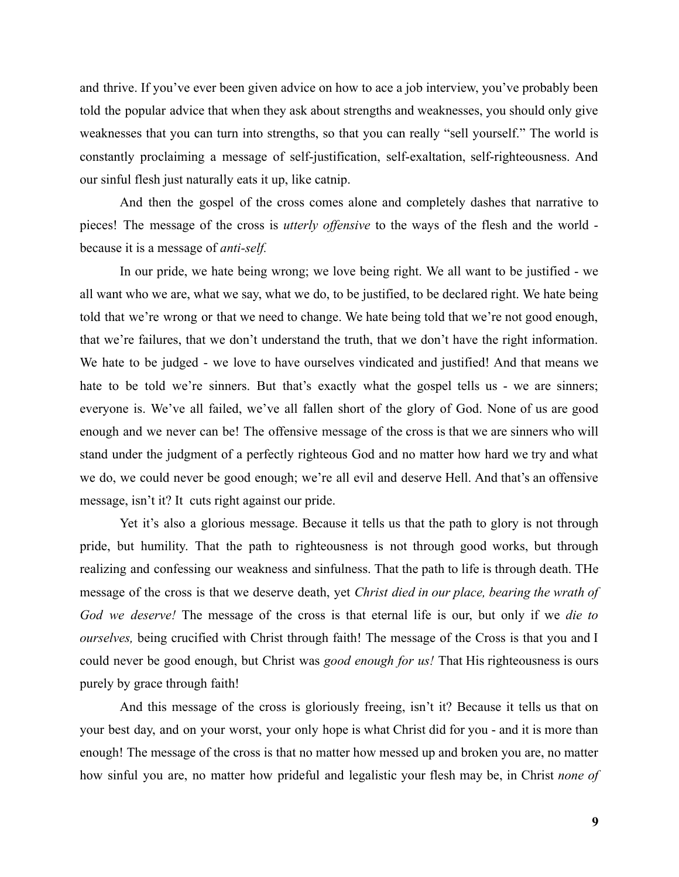and thrive. If you've ever been given advice on how to ace a job interview, you've probably been told the popular advice that when they ask about strengths and weaknesses, you should only give weaknesses that you can turn into strengths, so that you can really "sell yourself." The world is constantly proclaiming a message of self-justification, self-exaltation, self-righteousness. And our sinful flesh just naturally eats it up, like catnip.

And then the gospel of the cross comes alone and completely dashes that narrative to pieces! The message of the cross is *utterly offensive* to the ways of the flesh and the world because it is a message of *anti-self.*

In our pride, we hate being wrong; we love being right. We all want to be justified - we all want who we are, what we say, what we do, to be justified, to be declared right. We hate being told that we're wrong or that we need to change. We hate being told that we're not good enough, that we're failures, that we don't understand the truth, that we don't have the right information. We hate to be judged - we love to have ourselves vindicated and justified! And that means we hate to be told we're sinners. But that's exactly what the gospel tells us - we are sinners; everyone is. We've all failed, we've all fallen short of the glory of God. None of us are good enough and we never can be! The offensive message of the cross is that we are sinners who will stand under the judgment of a perfectly righteous God and no matter how hard we try and what we do, we could never be good enough; we're all evil and deserve Hell. And that's an offensive message, isn't it? It cuts right against our pride.

Yet it's also a glorious message. Because it tells us that the path to glory is not through pride, but humility. That the path to righteousness is not through good works, but through realizing and confessing our weakness and sinfulness. That the path to life is through death. THe message of the cross is that we deserve death, yet *Christ died in our place, bearing the wrath of God we deserve!* The message of the cross is that eternal life is our, but only if we *die to ourselves,* being crucified with Christ through faith! The message of the Cross is that you and I could never be good enough, but Christ was *good enough for us!* That His righteousness is ours purely by grace through faith!

And this message of the cross is gloriously freeing, isn't it? Because it tells us that on your best day, and on your worst, your only hope is what Christ did for you - and it is more than enough! The message of the cross is that no matter how messed up and broken you are, no matter how sinful you are, no matter how prideful and legalistic your flesh may be, in Christ *none of*